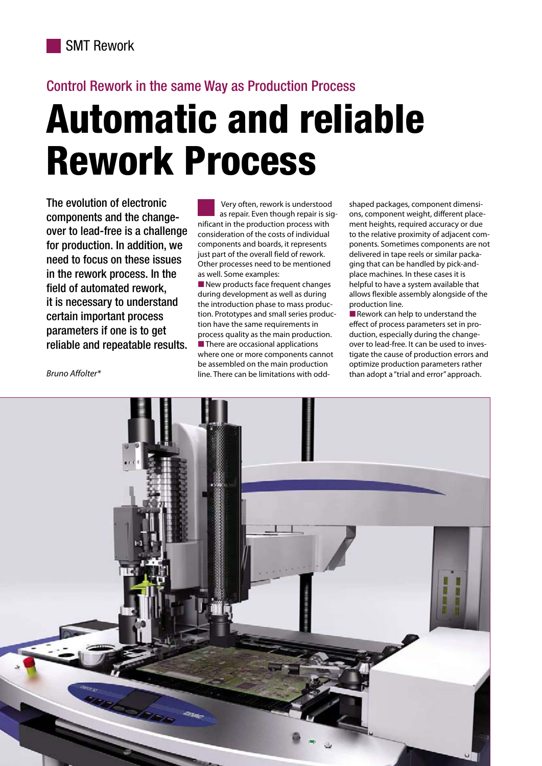# Control Rework in the same Way as Production Process

# Automatic and reliable Rework Process

The evolution of electronic components and the changeover to lead-free is <sup>a</sup> challenge for production. In addition, we need to focus on these issues in the rework process. In the field of automated rework, it is necessary to understand certain important process parameters if one is to get reliable and repeatable results.

Very often, rework is understood as repair. Even though repair is significant in the production process with consideration of the costs of individual components and boards, it represents just part of the overall field of rework. Other processes need to be mentioned as well. Some examples:

■ New products face frequent changes<br>Auring development as well as during during development as well as during the introduction phase to mass production. Prototypes and small series production have the same requirements in process quality as the main production. ■ There are occasional applications<br>Where one or more components car where one or more components cannot be assembled on the main production line. There can be limitations with oddshaped packages, component dimensions, component weight, different placement heights, required accuracy or due to the relative proximity of adjacent components. Sometimes components are not delivered in tape reels or similar packaging that can be handled by pick-andplace machines. In these cases it is helpful to have <sup>a</sup> system available that allows flexible assembly alongside of the production line.

■ Rework can help to understand the effect of process parameters set in production, especially during the changeover to lead-free. It can be used to investigate the cause of production errors and optimize production parameters rather than adopt <sup>a</sup> "trial and error" approach.

Bruno Affolter\*

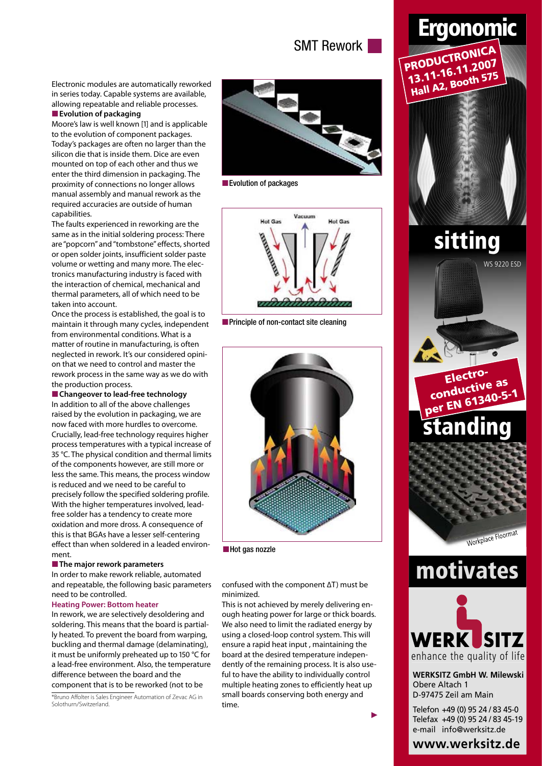# SMT Rework

Electronic modules are automatically reworked in series today. Capable systems are available, allowing repeatable and reliable processes.

## ■ **Evolution** of packaging

Moore's law is well known [1] and is applicable to the evolution of component packages. Today's packages are often no larger than the silicon die that is inside them. Dice are even mounted on top of each other and thus we enter the third dimension in packaging. The proximity of connections no longer allows manual assembly and manual rework as the required accuracies are outside of human capabilities.

The faults experienced in reworking are the same as in the initial soldering process: There are "popcorn" and"tombstone" effects, shorted or open solder joints, insufficient solder paste volume or wetting and many more. The electronics manufacturing industry is faced with the interaction of chemical, mechanical and thermal parameters, all of which need to be taken into account.

Once the process is established, the goal is to maintain it through many cycles, independent from environmental conditions. What is <sup>a</sup> matter of routine in manufacturing, is often neglected in rework. It's our considered opinion that we need to control and master the rework process in the same way as we do with the production process.

■ **Changeover** to lead-free **technology** 

In addition to all of the above challenges raised by the evolution in packaging, we are now faced with more hurdles to overcome. Crucially, lead-free technology requires higher process temperatures with <sup>a</sup> typical increase of 35 °C. The physical condition and thermal limits of the components however, are still more or less the same. This means, the process window is reduced and we need to be careful to precisely follow the specified soldering profile. With the higher temperatures involved, leadfree solder has <sup>a</sup> tendency to create more oxidation and more dross. A consequence of this is that BGAs have <sup>a</sup> lesser self-centering effect than when soldered in <sup>a</sup> leaded environment.

#### ■ The major rework parameters

In order to make rework reliable, automated and repeatable, the following basic parameters need to be controlled.

#### **Heating Power: Bottom heater**

In rework, we are selectively desoldering and soldering. This means that the board is partially heated. To prevent the board from warping, buckling and thermal damage (delaminating), it must be uniformly preheated up to 150 °C for <sup>a</sup> lead-free environment. Also, the temperature difference between the board and the component that is to be reworked (not to be

\*Bruno Affolter is Sales Engineer Automation of Zevac AG in Solothurn/Switzerland.



■ Evolution of packages



■ Principle of non-contact site cleaning



■Hot gas nozzle

confused with the component ∆T) must be minimized.

This is not achieved by merely delivering enough heating power for large or thick boards. We also need to limit the radiated energy by using <sup>a</sup> closed-loop control system. This will ensure <sup>a</sup> rapid heat input , maintaining the board at the desired temperature independently of the remaining process. It is also useful to have the ability to individually control multiple heating zones to efficiently heat up small boards conserving both energy and time.



www.werksitz.de

▶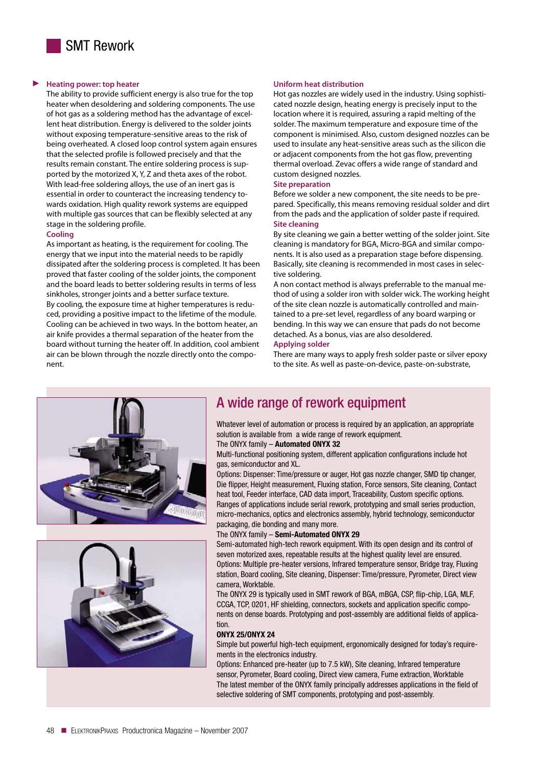

#### **Heating power: top heater** ▶

The ability to provide sufficient energy is also true for the top heater when desoldering and soldering components. The use of hot gas as <sup>a</sup> soldering method has the advantage of excellent heat distribution. Energy is delivered to the solder joints without exposing temperature-sensitive areas to the risk of being overheated. <sup>A</sup> closed loop control system again ensures that the selected profile is followed precisely and that the results remain constant. The entire soldering process is supported by the motorized X, Y, <sup>Z</sup> and theta axes of the robot. With lead-free soldering alloys, the use of an inert gas is essential in order to counteract the increasing tendency towards oxidation. High quality rework systems are equipped with multiple gas sources that can be flexibly selected at any stage in the soldering profile.

### **Cooling**

As important as heating, is the requirement for cooling. The energy that we input into the material needs to be rapidly dissipated after the soldering process is completed. It has been proved that faster cooling of the solder joints, the component and the board leads to better soldering results in terms of less sinkholes, stronger joints and <sup>a</sup> better surface texture. By cooling, the exposure time at higher temperatures is reduced, providing <sup>a</sup> positive impact to the lifetime of the module. Cooling can be achieved in two ways. In the bottom heater, an air knife provides <sup>a</sup> thermal separation of the heater from the board without turning the heater off. In addition, cool ambient air can be blown through the nozzle directly onto the component.

#### **Uniform heat distribution**

Hot gas nozzles are widely used in the industry. Using sophisticated nozzle design, heating energy is precisely input to the location where it is required, assuring <sup>a</sup> rapid melting of the solder. The maximum temperature and exposure time of the component is minimised. Also, custom designed nozzles can be used to insulate any heat-sensitive areas such as the silicon die or adjacent components from the hot gas flow, preventing thermal overload. Zevac offers <sup>a</sup> wide range of standard and custom designed nozzles.

#### **Site preparation**

Before we solder <sup>a</sup> new component, the site needs to be prepared. Specifically, this means removing residual solder and dirt from the pads and the application of solder paste if required. **Site cleaning**

By site cleaning we gain <sup>a</sup> better wetting of the solder joint. Site cleaning is mandatory for BGA, Micro-BGA and similar components. It is also used as <sup>a</sup> preparation stage before dispensing. Basically, site cleaning is recommended in most cases in selective soldering.

<sup>A</sup> non contact method is always preferrable to the manual method of using <sup>a</sup> solder iron with solder wick. The working height of the site clean nozzle is automatically controlled and maintained to <sup>a</sup> pre-set level, regardless of any board warping or bending. In this way we can ensure that pads do not become detached. As a bonus, vias are also desoldered.

#### **Applying solder**

There are many ways to apply fresh solder paste or silver epoxy to the site. As well as paste-on-device, paste-on-substrate,





## <sup>A</sup> wide range of rework equipment

Whatever level of automation or process is required by an application, an appropriate solution is available from a wide range of rework equipment.

## The ONYX family – Automated ONYX 32

Multi-functional positioning system, different application configurations include hot gas, semiconductor and XL.

Options: Dispenser: Time/pressure or auger, Hot gas nozzle changer, SMD tip changer, Die flipper, Height measurement, Fluxing station, Force sensors, Site cleaning, Contact heat tool, Feeder interface, CAD data import, Traceability, Custom specific options. Ranges of applications include serial rework, prototyping and small series production, micro-mechanics, optics and electronics assembly, hybrid technology, semiconductor packaging, die bonding and many more.

#### The ONYX family – Semi-Automated ONYX 29

Semi-automated high-tech rework equipment. With its open design and its control of seven motorized axes, repeatable results at the highest quality level are ensured. Options: Multiple pre-heater versions, Infrared temperature sensor, Bridge tray, Fluxing station, Board cooling, Site cleaning, Dispenser: Time/pressure, Pyrometer, Direct view camera, Worktable.

The ONYX <sup>29</sup> is typically used in SMT rework of BGA, mBGA, CSP, flip-chip, LGA, MLF, CCGA, TCP, 0201, HF shielding, connectors, sockets and application specific components on dense boards. Prototyping and post-assembly are additional fields of application.

#### ONYX 25/ONYX 24

Simple but powerful high-tech equipment, ergonomically designed for today's requirements in the electronics industry.

Options: Enhanced pre-heater (up to 7.5 kW), Site cleaning, Infrared temperature sensor, Pyrometer, Board cooling, Direct view camera, Fume extraction, Worktable The latest member of the ONYX family principally addresses applications in the field of selective soldering of SMT components, prototyping and post-assembly.